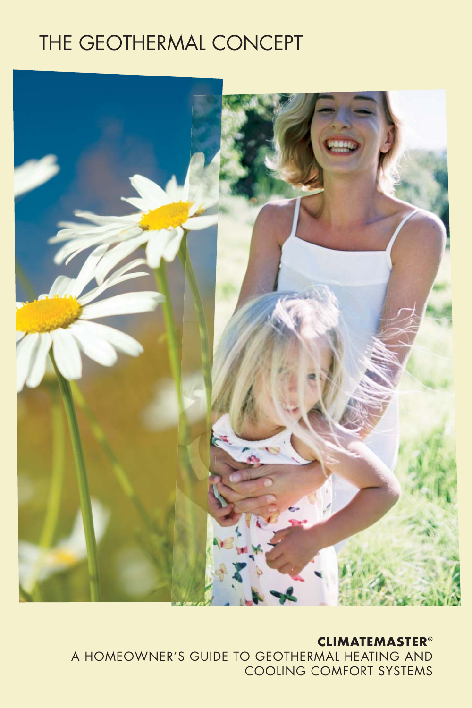# THE GEOTHERMAL CONCEPT



**CLIMATEMASTER®** A HOMEOWNER'S GUIDE TO GEOTHERMAL HEATING AND COOLING COMFORT SYSTEMS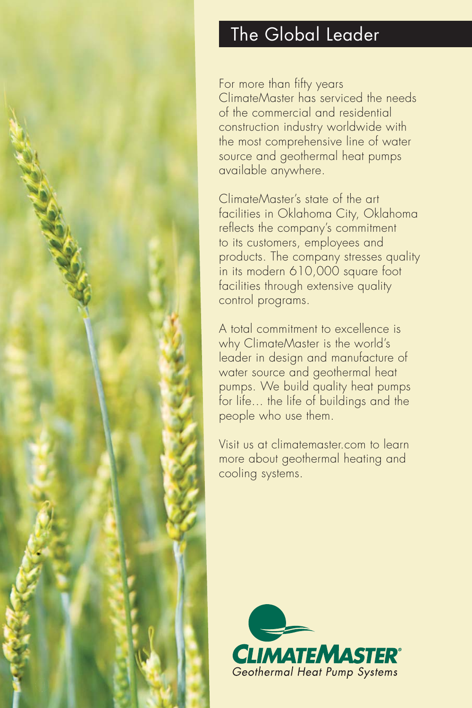

## The Global Leader

For more than fifty years ClimateMaster has serviced the needs of the commercial and residential construction industry worldwide with the most comprehensive line of water source and geothermal heat pumps available anywhere.

ClimateMaster's state of the art facilities in Oklahoma City, Oklahoma reflects the company's commitment to its customers, employees and products. The company stresses quality in its modern 610,000 square foot facilities through extensive quality control programs.

A total commitment to excellence is why ClimateMaster is the world's leader in design and manufacture of water source and geothermal heat pumps. We build quality heat pumps for life... the life of buildings and the people who use them.

Visit us at climatemaster.com to learn more about geothermal heating and cooling systems.

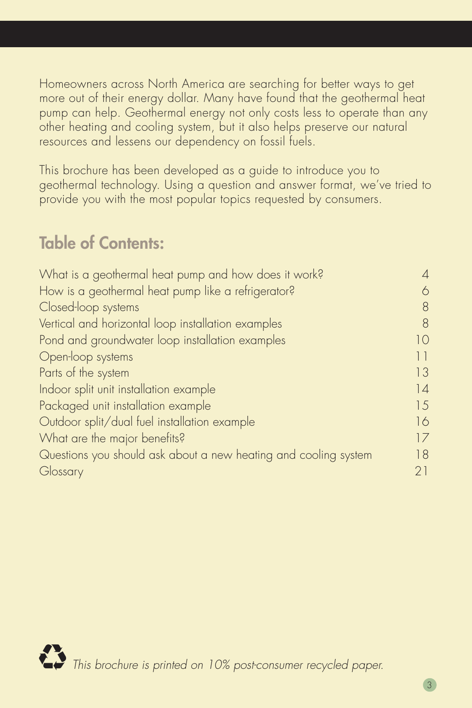Homeowners across North America are searching for better ways to get more out of their energy dollar. Many have found that the geothermal heat pump can help. Geothermal energy not only costs less to operate than any other heating and cooling system, but it also helps preserve our natural resources and lessens our dependency on fossil fuels.

This brochure has been developed as a guide to introduce you to geothermal technology. Using a question and answer format, we've tried to provide you with the most popular topics requested by consumers.

## **Table of Contents:**

| What is a geothermal heat pump and how does it work?            | 4  |
|-----------------------------------------------------------------|----|
| How is a geothermal heat pump like a refrigerator?              | 6  |
| Closed-loop systems                                             | 8  |
| Vertical and horizontal loop installation examples              | 8  |
| Pond and groundwater loop installation examples                 | 10 |
| Open-loop systems                                               | 11 |
| Parts of the system                                             | 13 |
| Indoor split unit installation example                          | 14 |
| Packaged unit installation example                              | 15 |
| Outdoor split/dual fuel installation example                    | 16 |
| What are the major benefits?                                    | 17 |
| Questions you should ask about a new heating and cooling system | 18 |
| Glossary                                                        | 21 |
|                                                                 |    |

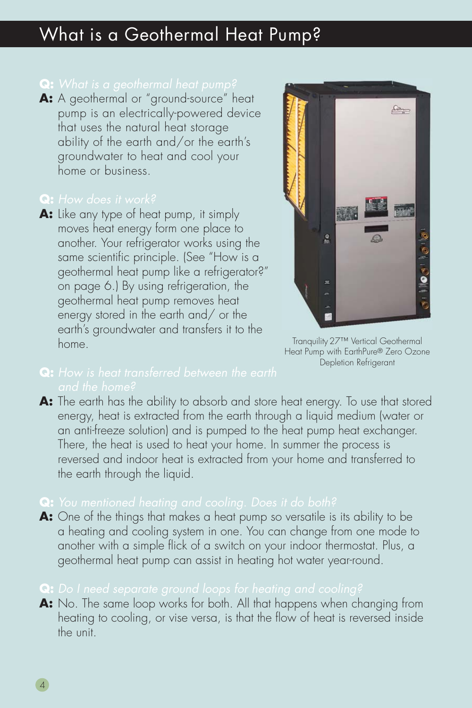## What is a Geothermal Heat Pump?

A: A geothermal or "ground-source" heat pump is an electrically-powered device that uses the natural heat storage ability of the earth and/or the earth's groundwater to heat and cool your home or business.

### **Q:** *How does it work?*

**A:** Like any type of heat pump, it simply moves heat energy form one place to another. Your refrigerator works using the same scientific principle. (See "How is a geothermal heat pump like a refrigerator?" on page 6.) By using refrigeration, the geothermal heat pump removes heat energy stored in the earth and/ or the earth's groundwater and transfers it to the home.



Tranquility27™ Vertical Geothermal Heat Pump with EarthPure® Zero Ozone Depletion Refrigerant

**A:** The earth has the ability to absorb and store heat energy. To use that stored energy, heat is extracted from the earth through a liquid medium (water or an anti-freeze solution) and is pumped to the heat pump heat exchanger. There, the heat is used to heat your home. In summer the process is reversed and indoor heat is extracted from your home and transferred to the earth through the liquid.

### **Q:** *You mentioned heating and cooling. Does it do both?*

**A:** One of the things that makes a heat pump so versatile is its ability to be a heating and cooling system in one. You can change from one mode to another with a simple flick of a switch on your indoor thermostat. Plus, a geothermal heat pump can assist in heating hot water year-round.

### **Q:** *Do I need separate ground loops for heating and cooling?*

A: No. The same loop works for both. All that happens when changing from heating to cooling, or vise versa, is that the flow of heat is reversed inside the unit.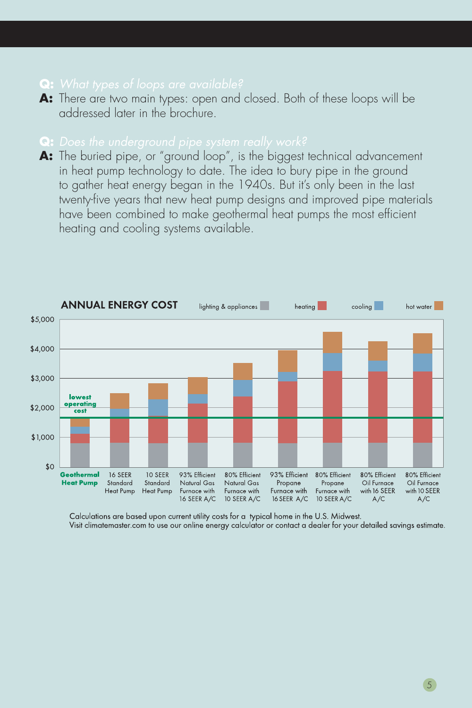### **Q:** *What types of loops are available?*

**A:** There are two main types: open and closed. Both of these loops will be addressed later in the brochure.

### **Q:** *Does the underground pipe system really work?*

**A:** The buried pipe, or "ground loop", is the biggest technical advancement in heat pump technology to date. The idea to bury pipe in the ground to gather heat energy began in the 1940s. But it's only been in the last twenty-five years that new heat pump designs and improved pipe materials have been combined to make geothermal heat pumps the most efficient heating and cooling systems available.



Calculations are based upon current utility costs for a typical home in the U.S. Midwest. Visit climatemaster.com to use our online energy calculator or contact a dealer for your detailed savings estimate.

5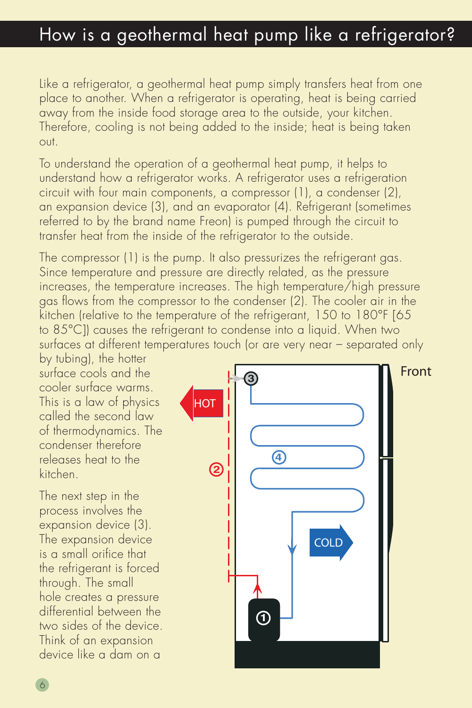## How is a geothermal heat pump like a refrigerator?

Like a refrigerator, a geothermal heat pump simply transfers heat from one place to another. When a refrigerator is operating, heat is being carried away from the inside food storage area to the outside, your kitchen. Therefore, cooling is not being added to the inside; heat is being taken out.

To understand the operation of a geothermal heat pump, it helps to understand how a refrigerator works. A refrigerator uses a refrigeration circuit with four main components, a compressor (1), a condenser (2), an expansion device (3), and an evaporator (4). Refrigerant (sometimes referred to by the brand name Freon) is pumped through the circuit to transfer heat from the inside of the refrigerator to the outside.

The compressor (1) is the pump. It also pressurizes the refrigerant gas. Since temperature and pressure are directly related, as the pressure increases, the temperature increases. The high temperature/high pressure gas flows from the compressor to the condenser (2). The cooler air in the kitchen (relative to the temperature of the refrigerant, 150 to 180°F [65 to 85°C]) causes the refrigerant to condense into a liquid. When two surfaces at different temperatures touch (or are very near – separated only

by tubing), the hotter surface cools and the cooler surface warms. This is a law of physics called the second law of thermodynamics. The condenser therefore releases heat to the kitchen.

The next step in the process involves the expansion device (3). The expansion device is a small orifice that the refrigerant is forced through. The small hole creates a pressure differential between the two sides of the device. Think of an expansion device like a dam on a

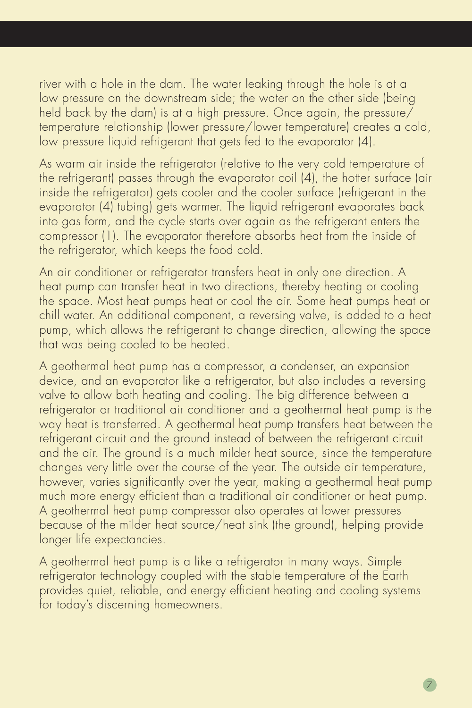river with a hole in the dam. The water leaking through the hole is at a low pressure on the downstream side; the water on the other side (being held back by the dam) is at a high pressure. Once again, the pressure $\bar{Z}$ temperature relationship (lower pressure/lower temperature) creates a cold, low pressure liquid refrigerant that gets fed to the evaporator (4).

As warm air inside the refrigerator (relative to the very cold temperature of the refrigerant) passes through the evaporator coil (4), the hotter surface (air inside the refrigerator) gets cooler and the cooler surface (refrigerant in the evaporator (4) tubing) gets warmer. The liquid refrigerant evaporates back into gas form, and the cycle starts over again as the refrigerant enters the compressor (1). The evaporator therefore absorbs heat from the inside of the refrigerator, which keeps the food cold.

An air conditioner or refrigerator transfers heat in only one direction. A heat pump can transfer heat in two directions, thereby heating or cooling the space. Most heat pumps heat or cool the air. Some heat pumps heat or chill water. An additional component, a reversing valve, is added to a heat pump, which allows the refrigerant to change direction, allowing the space that was being cooled to be heated.

A geothermal heat pump has a compressor, a condenser, an expansion device, and an evaporator like a refrigerator, but also includes a reversing valve to allow both heating and cooling. The big difference between a refrigerator or traditional air conditioner and a geothermal heat pump is the way heat is transferred. A geothermal heat pump transfers heat between the refrigerant circuit and the ground instead of between the refrigerant circuit and the air. The ground is a much milder heat source, since the temperature changes very little over the course of the year. The outside air temperature, however, varies significantly over the year, making a geothermal heat pump much more energy efficient than a traditional air conditioner or heat pump. A geothermal heat pump compressor also operates at lower pressures because of the milder heat source/heat sink (the ground), helping provide longer life expectancies.

A geothermal heat pump is a like a refrigerator in many ways. Simple refrigerator technology coupled with the stable temperature of the Earth provides quiet, reliable, and energy efficient heating and cooling systems for today's discerning homeowners.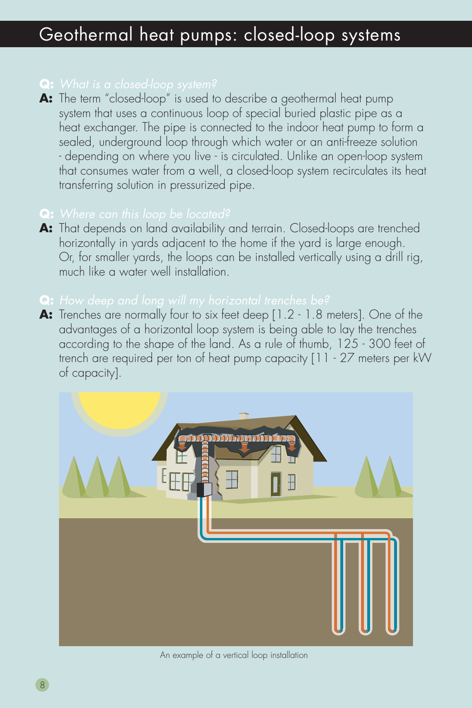**A:** The term "closed-loop" is used to describe a geothermal heat pump system that uses a continuous loop of special buried plastic pipe as a heat exchanger. The pipe is connected to the indoor heat pump to form a sealed, underground loop through which water or an anti-freeze solution - depending on where you live - is circulated. Unlike an open-loop system that consumes water from a well, a closed-loop system recirculates its heat transferring solution in pressurized pipe.

### **Q:** *Where can this loop be located?*

**A:** That depends on land availability and terrain. Closed-loops are trenched horizontally in yards adjacent to the home if the yard is large enough. Or, for smaller yards, the loops can be installed vertically using a drill rig, much like a water well installation.

### **Q:** *How deep and long will my horizontal trenches be?*

**A:** Trenches are normally four to six feet deep [1.2 - 1.8 meters]. One of the advantages of a horizontal loop system is being able to lay the trenches according to the shape of the land. As a rule of thumb, 125 - 300 feet of trench are required per ton of heat pump capacity [11 - 27 meters per kW of capacity].



An example of a vertical loop installation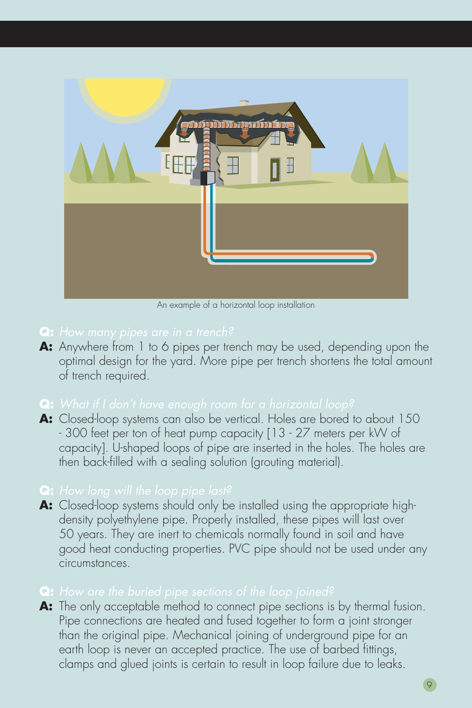

An example of a horizontal loop installation

**A:** Anywhere from 1 to 6 pipes per trench may be used, depending upon the optimal design for the yard. More pipe per trench shortens the total amount of trench required.

### **Q:** *What if I don't have enough room for a horizontal loop?*

**A:** Closed-loop systems can also be vertical. Holes are bored to about 150 - 300 feet per ton of heat pump capacity [13 - 27 meters per kW of capacity]. U-shaped loops of pipe are inserted in the holes. The holes are then back-filled with a sealing solution (grouting material).

### **Q:** *How long will the loop pipe last?*

**A:** Closed-loop systems should only be installed using the appropriate highdensity polyethylene pipe. Properly installed, these pipes will last over 50 years. They are inert to chemicals normally found in soil and have good heat conducting properties. PVC pipe should not be used under any circumstances.

### **Q:** *How are the buried pipe sections of the loop joined?*

**A:** The only acceptable method to connect pipe sections is by thermal fusion. Pipe connections are heated and fused together to form a joint stronger than the original pipe. Mechanical joining of underground pipe for an earth loop is never an accepted practice. The use of barbed fittings, clamps and glued joints is certain to result in loop failure due to leaks.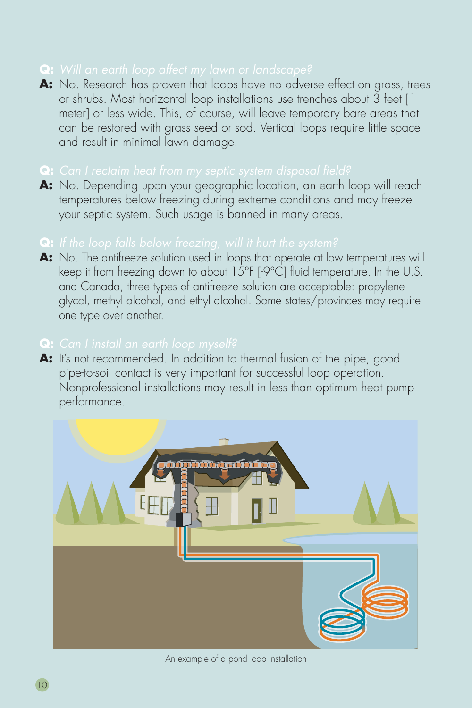A: No. Research has proven that loops have no adverse effect on grass, trees or shrubs. Most horizontal loop installations use trenches about 3 feet [1 meter] or less wide. This, of course, will leave temporary bare areas that can be restored with grass seed or sod. Vertical loops require little space and result in minimal lawn damage.

### **Q:** Can I reclaim heat from my septic system disposal field?

A: No. Depending upon your geographic location, an earth loop will reach temperatures below freezing during extreme conditions and may freeze your septic system. Such usage is banned in many areas.

### **Q:** *If the loop falls below freezing, will it hurt the system?*

A: No. The antifreeze solution used in loops that operate at low temperatures will keep it from freezing down to about 15°F [-9°C] fluid temperature. In the U.S. and Canada, three types of antifreeze solution are acceptable: propylene glycol, methyl alcohol, and ethyl alcohol. Some states/provinces may require one type over another.

### **Q:** *Can I install an earth loop myself?*

A: It's not recommended. In addition to thermal fusion of the pipe, good pipe-to-soil contact is very important for successful loop operation. Nonprofessional installations may result in less than optimum heat pump performance.



An example of a pond loop installation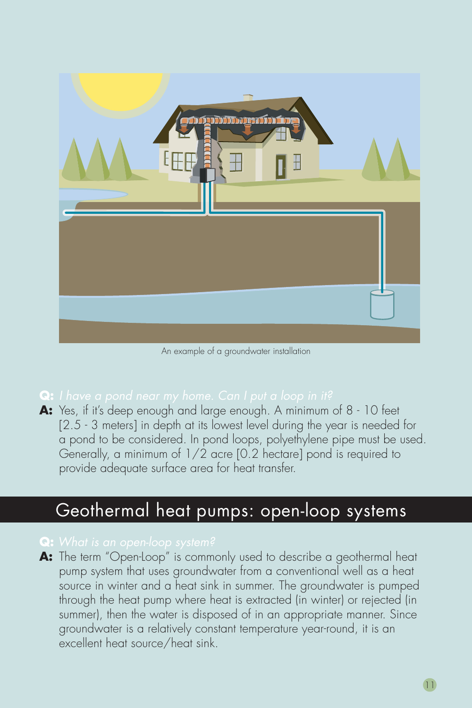

An example of a groundwater installation

### **Q:** *I have a pond near my home. Can I put a loop in it?*

**A:** Yes, if it's deep enough and large enough. A minimum of 8 - 10 feet [2.5 - 3 meters] in depth at its lowest level during the year is needed for a pond to be considered. In pond loops, polyethylene pipe must be used. Generally, a minimum of 1/2 acre [0.2 hectare] pond is required to provide adequate surface area for heat transfer.

## Geothermal heat pumps: open-loop systems

### **Q:** *What is an open-loop system?*

A: The term "Open-Loop" is commonly used to describe a geothermal heat pump system that uses groundwater from a conventional well as a heat source in winter and a heat sink in summer. The groundwater is pumped through the heat pump where heat is extracted (in winter) or rejected (in summer), then the water is disposed of in an appropriate manner. Since groundwater is a relatively constant temperature year-round, it is an excellent heat source/heat sink.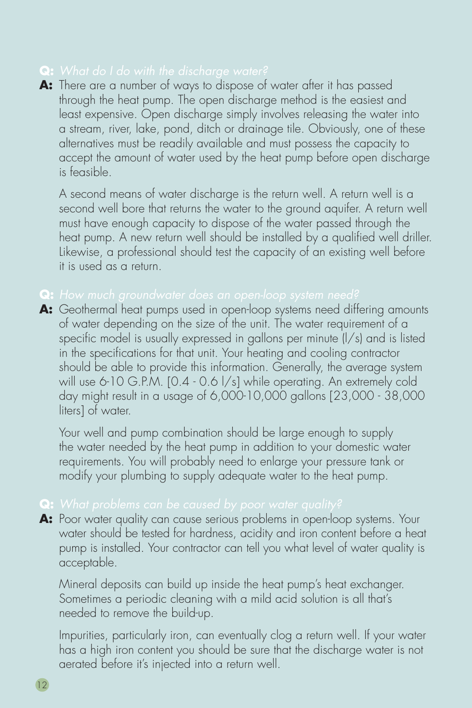### **Q:** *What do I do with the discharge water?*

**A:** There are a number of ways to dispose of water after it has passed through the heat pump. The open discharge method is the easiest and least expensive. Open discharge simply involves releasing the water into a stream, river, lake, pond, ditch or drainage tile. Obviously, one of these alternatives must be readily available and must possess the capacity to accept the amount of water used by the heat pump before open discharge is feasible.

 A second means of water discharge is the return well. A return well is a second well bore that returns the water to the ground aquifer. A return well must have enough capacity to dispose of the water passed through the heat pump. A new return well should be installed by a qualified well driller. Likewise, a professional should test the capacity of an existing well before it is used as a return.

### **Q:** *How much groundwater does an open-loop system need?*

**A:** Geothermal heat pumps used in open-loop systems need differing amounts of water depending on the size of the unit. The water requirement of a specific model is usually expressed in gallons per minute (I/s) and is listed in the specifications for that unit. Your heating and cooling contractor should be able to provide this information. Generally, the average system will use 6-10 G.P.M. [0.4 - 0.6 l/s] while operating. An extremely cold day might result in a usage of 6,000-10,000 gallons [23,000 - 38,000 liters] of water.

 Your well and pump combination should be large enough to supply the water needed by the heat pump in addition to your domestic water requirements. You will probably need to enlarge your pressure tank or modify your plumbing to supply adequate water to the heat pump.

**A:** Poor water quality can cause serious problems in open-loop systems. Your water should be tested for hardness, acidity and iron content before a heat pump is installed. Your contractor can tell you what level of water quality is acceptable.

 Mineral deposits can build up inside the heat pump's heat exchanger. Sometimes a periodic cleaning with a mild acid solution is all that's needed to remove the build-up.

 Impurities, particularly iron, can eventually clog a return well. If your water has a high iron content you should be sure that the discharge water is not aerated before it's injected into a return well.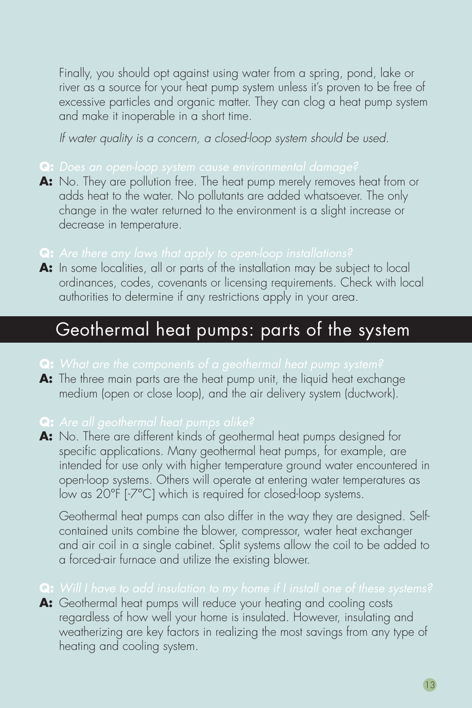Finally, you should opt against using water from a spring, pond, lake or river as a source for your heat pump system unless it's proven to be free of excessive particles and organic matter. They can clog a heat pump system and make it inoperable in a short time.

 *If water quality is a concern, a closed-loop system should be used.* 

### **Q:** *Does an open-loop system cause environmental damage?*

**A:** No. They are pollution free. The heat pump merely removes heat from or adds heat to the water. No pollutants are added whatsoever. The only change in the water returned to the environment is a slight increase or decrease in temperature.

### **Q:** *Are there any laws that apply to open-loop installations?*

A: In some localities, all or parts of the installation may be subject to local ordinances, codes, covenants or licensing requirements. Check with local authorities to determine if any restrictions apply in your area.

## Geothermal heat pumps: parts of the system

**A:** The three main parts are the heat pump unit, the liquid heat exchange medium (open or close loop), and the air delivery system (ductwork).

### **Q:** *Are all geothermal heat pumps alike?*

**A:** No. There are different kinds of geothermal heat pumps designed for specific applications. Many geothermal heat pumps, for example, are intended for use only with higher temperature ground water encountered in open-loop systems. Others will operate at entering water temperatures as low as 20°F [-7°C] which is required for closed-loop systems.

 Geothermal heat pumps can also differ in the way they are designed. Selfcontained units combine the blower, compressor, water heat exchanger and air coil in a single cabinet. Split systems allow the coil to be added to a forced-air furnace and utilize the existing blower.

**A:** Geothermal heat pumps will reduce your heating and cooling costs regardless of how well your home is insulated. However, insulating and weatherizing are key factors in realizing the most savings from any type of heating and cooling system.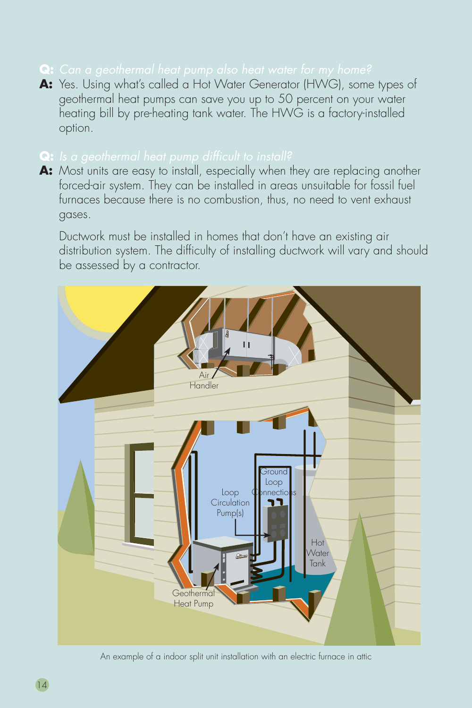**A:** Yes. Using what's called a Hot Water Generator (HWG), some types of geothermal heat pumps can save you up to 50 percent on your water heating bill by pre-heating tank water. The HWG is a factory-installed option.

### **Q:** *Is a geothermal heat pump difficult to install?*

**A:** Most units are easy to install, especially when they are replacing another forced-air system. They can be installed in areas unsuitable for fossil fuel furnaces because there is no combustion, thus, no need to vent exhaust gases.

 Ductwork must be installed in homes that don't have an existing air distribution system. The difficulty of installing ductwork will vary and should be assessed by a contractor.



An example of a indoor split unit installation with an electric furnace in attic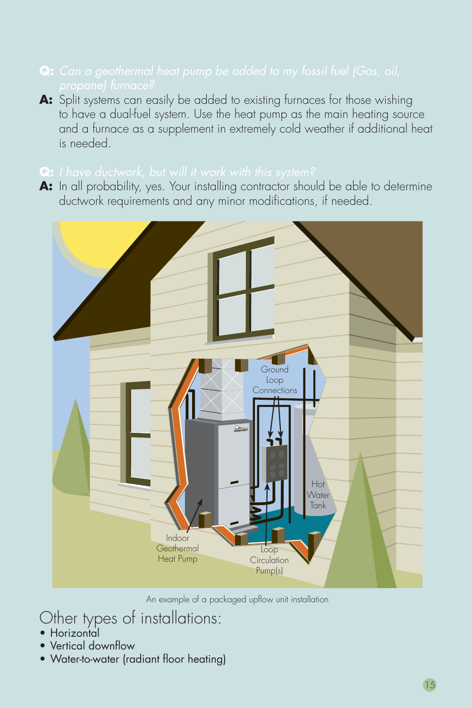**A:** Split systems can easily be added to existing furnaces for those wishing to have a dual-fuel system. Use the heat pump as the main heating source and a furnace as a supplement in extremely cold weather if additional heat is needed.

### **Q:** *I have ductwork, but will it work with this system?*

**A:** In all probability, yes. Your installing contractor should be able to determine ductwork requirements and any minor modifications, if needed.



An example of a packaged upflow unit installation

## Other types of installations:

- Horizontal
- Vertical downflow
- Water-to-water (radiant floor heating)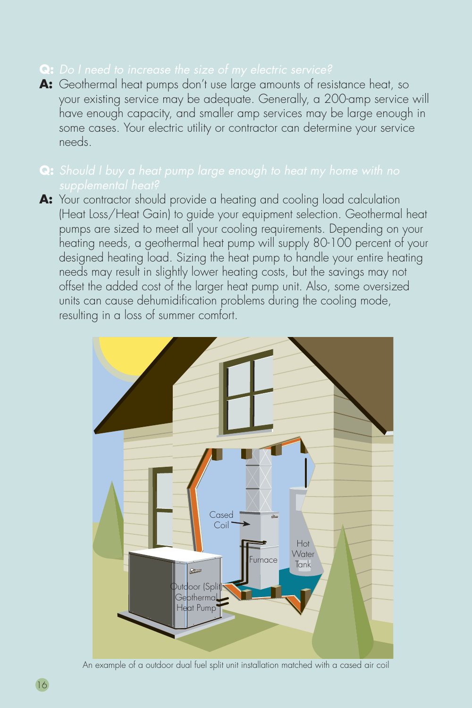**A:** Geothermal heat pumps don't use large amounts of resistance heat, so your existing service may be adequate. Generally, a 200-amp service will have enough capacity, and smaller amp services may be large enough in some cases. Your electric utility or contractor can determine your service needs.

**A:** Your contractor should provide a heating and cooling load calculation (Heat Loss/Heat Gain) to guide your equipment selection. Geothermal heat pumps are sized to meet all your cooling requirements. Depending on your heating needs, a geothermal heat pump will supply 80-100 percent of your designed heating load. Sizing the heat pump to handle your entire heating needs may result in slightly lower heating costs, but the savings may not offset the added cost of the larger heat pump unit. Also, some oversized units can cause dehumidification problems during the cooling mode, resulting in a loss of summer comfort.



An example of a outdoor dual fuel split unit installation matched with a cased air coil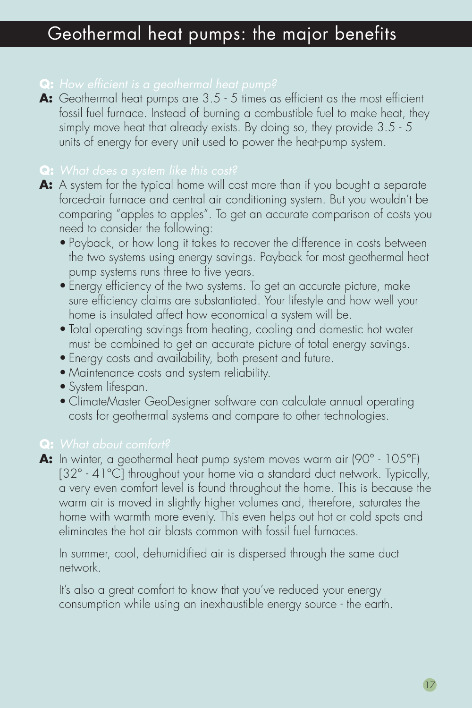A: Geothermal heat pumps are 3.5 - 5 times as efficient as the most efficient fossil fuel furnace. Instead of burning a combustible fuel to make heat, they simply move heat that already exists. By doing so, they provide 3.5 - 5 units of energy for every unit used to power the heat-pump system.

### **Q:** *What does a system like this cost?*

**A:** A system for the typical home will cost more than if you bought a separate forced-air furnace and central air conditioning system. But you wouldn't be comparing "apples to apples". To get an accurate comparison of costs you need to consider the following:

- Payback, or how long it takes to recover the difference in costs between the two systems using energy savings. Payback for most geothermal heat pump systems runs three to five years.
- Energy efficiency of the two systems. To get an accurate picture, make sure efficiency claims are substantiated. Your lifestyle and how well your home is insulated affect how economical a system will be.
- Total operating savings from heating, cooling and domestic hot water must be combined to get an accurate picture of total energy savings.
- Energy costs and availability, both present and future.
- Maintenance costs and system reliability.
- System lifespan.
- ClimateMaster GeoDesigner software can calculate annual operating costs for geothermal systems and compare to other technologies.

### **Q:** *What about comfort?*

**A:** In winter, a geothermal heat pump system moves warm air (90° - 105°F) [32° - 41°C] throughout your home via a standard duct network. Typically, a very even comfort level is found throughout the home. This is because the warm air is moved in slightly higher volumes and, therefore, saturates the home with warmth more evenly. This even helps out hot or cold spots and eliminates the hot air blasts common with fossil fuel furnaces.

In summer, cool, dehumidified air is dispersed through the same duct network.

 It's also a great comfort to know that you've reduced your energy consumption while using an inexhaustible energy source - the earth.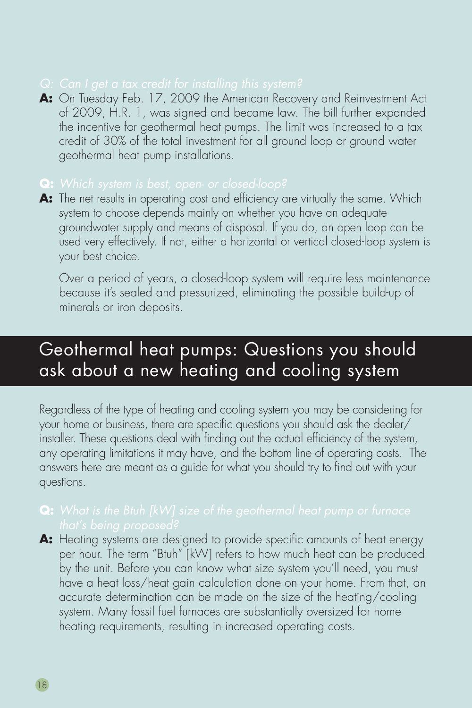**A:** On Tuesday Feb. 17, 2009 the American Recovery and Reinvestment Act of 2009, H.R. 1, was signed and became law. The bill further expanded the incentive for geothermal heat pumps. The limit was increased to a tax credit of 30% of the total investment for all ground loop or ground water geothermal heat pump installations.

### **Q:** *Which system is best, open- or closed-loop?*

A: The net results in operating cost and efficiency are virtually the same. Which system to choose depends mainly on whether you have an adequate groundwater supply and means of disposal. If you do, an open loop can be used very effectively. If not, either a horizontal or vertical closed-loop system is your best choice.

 Over a period of years, a closed-loop system will require less maintenance because it's sealed and pressurized, eliminating the possible build-up of minerals or iron deposits.

## Geothermal heat pumps: Questions you should ask about a new heating and cooling system

Regardless of the type of heating and cooling system you may be considering for your home or business, there are specific questions you should ask the dealer/ installer. These questions deal with finding out the actual efficiency of the system, any operating limitations it may have, and the bottom line of operating costs. The answers here are meant as a guide for what you should try to find out with your questions.

A: Heating systems are designed to provide specific amounts of heat energy per hour. The term "Btuh" [kW] refers to how much heat can be produced by the unit. Before you can know what size system you'll need, you must have a heat loss/heat gain calculation done on your home. From that, an accurate determination can be made on the size of the heating/cooling system. Many fossil fuel furnaces are substantially oversized for home heating requirements, resulting in increased operating costs.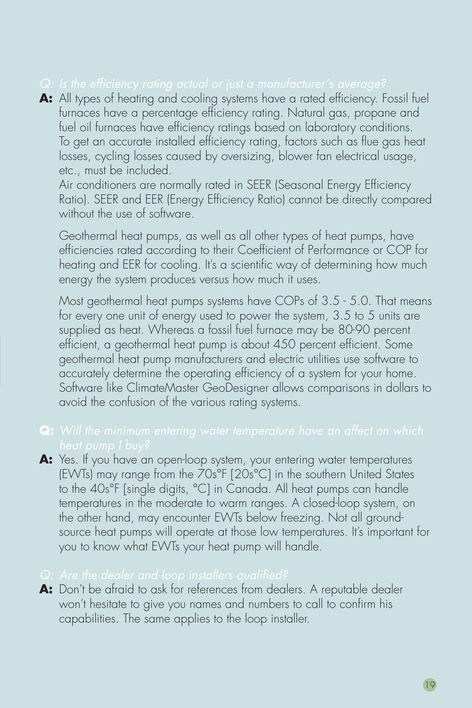**A:** All types of heating and cooling systems have a rated efficiency. Fossil fuel furnaces have a percentage efficiency rating. Natural gas, propane and fuel oil furnaces have efficiency ratings based on laboratory conditions. To get an accurate installed efficiency rating, factors such as flue gas heat losses, cycling losses caused by oversizing, blower fan electrical usage, etc., must be included.

Air conditioners are normally rated in SEER (Seasonal Energy Efficiency Ratio). SEER and EER (Energy Efficiency Ratio) cannot be directly compared without the use of software.

 Geothermal heat pumps, as well as all other types of heat pumps, have efficiencies rated according to their Coefficient of Performance or COP for heating and EER for cooling. It's a scientific way of determining how much energy the system produces versus how much it uses.

 Most geothermal heat pumps systems have COPs of 3.5 - 5.0. That means for every one unit of energy used to power the system, 3.5 to 5 units are supplied as heat. Whereas a fossil fuel furnace may be 80-90 percent efficient, a geothermal heat pump is about 450 percent efficient. Some geothermal heat pump manufacturers and electric utilities use software to accurately determine the operating efficiency of a system for your home. Software like ClimateMaster GeoDesigner allows comparisons in dollars to avoid the confusion of the various rating systems.

# **Q:** *Will the minimum entering water temperature have an affect on which*

A: Yes. If you have an open-loop system, your entering water temperatures (EWTs) may range from the 70s°F [20s°C] in the southern United States to the 40s°F [single digits, °C] in Canada. All heat pumps can handle temperatures in the moderate to warm ranges. A closed-loop system, on the other hand, may encounter EWTs below freezing. Not all groundsource heat pumps will operate at those low temperatures. It's important for you to know what EWTs your heat pump will handle.

**A:** Don't be afraid to ask for references from dealers. A reputable dealer won't hesitate to give you names and numbers to call to confirm his capabilities. The same applies to the loop installer.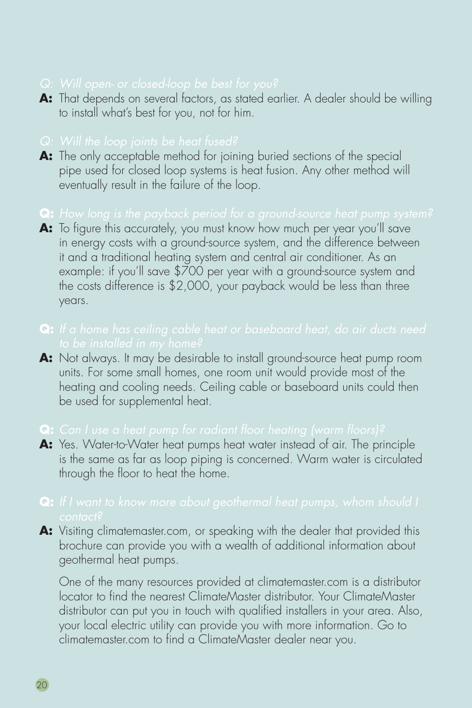**A:** That depends on several factors, as stated earlier. A dealer should be willing to install what's best for you, not for him.

**A:** The only acceptable method for joining buried sections of the special pipe used for closed loop systems is heat fusion. Any other method will eventually result in the failure of the loop.

### **Q:** *How long is the payback period for a ground-source heat pump system?*

A: To figure this accurately, you must know how much per year you'll save in energy costs with a ground-source system, and the difference between it and a traditional heating system and central air conditioner. As an example: if you'll save \$700 per year with a ground-source system and the costs difference is \$2,000, your payback would be less than three years.

**A:** Not always. It may be desirable to install ground-source heat pump room units. For some small homes, one room unit would provide most of the heating and cooling needs. Ceiling cable or baseboard units could then be used for supplemental heat.

### **Q:** Can I use a heat pump for radiant floor heating (warm floors)?

**A:** Yes. Water-to-Water heat pumps heat water instead of air. The principle is the same as far as loop piping is concerned. Warm water is circulated through the floor to heat the home.

# **Q:** *If I want to know more about geothermal heat pumps, whom should I*

**A:** Visiting climatemaster.com, or speaking with the dealer that provided this brochure can provide you with a wealth of additional information about geothermal heat pumps.

 One of the many resources provided at climatemaster.com is a distributor locator to find the nearest ClimateMaster distributor. Your ClimateMaster distributor can put you in touch with qualified installers in your area. Also, your local electric utility can provide you with more information. Go to climatemaster.com to find a ClimateMaster dealer near you.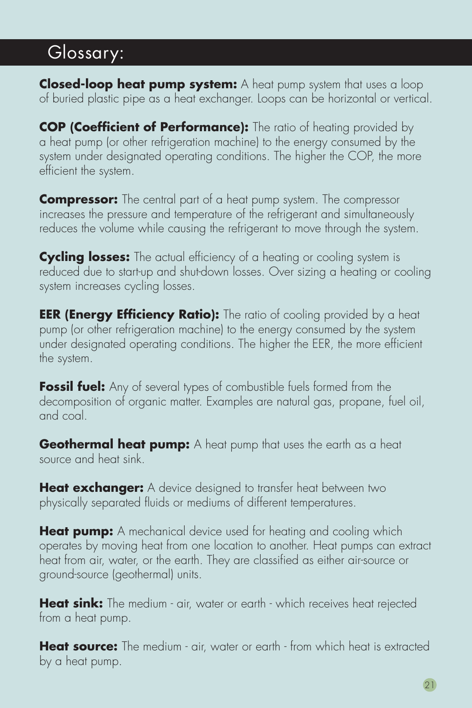## Glossary:

**Closed-loop heat pump system:** A heat pump system that uses a loop of buried plastic pipe as a heat exchanger. Loops can be horizontal or vertical.

**COP (Coefficient of Performance):** The ratio of heating provided by a heat pump (or other refrigeration machine) to the energy consumed by the system under designated operating conditions. The higher the COP, the more efficient the system.

**Compressor:** The central part of a heat pump system. The compressor increases the pressure and temperature of the refrigerant and simultaneously reduces the volume while causing the refrigerant to move through the system.

**Cycling losses:** The actual efficiency of a heating or cooling system is reduced due to start-up and shut-down losses. Over sizing a heating or cooling system increases cycling losses.

**EER (Energy Efficiency Ratio):** The ratio of cooling provided by a heat pump (or other refrigeration machine) to the energy consumed by the system under designated operating conditions. The higher the EER, the more efficient the system.

**Fossil fuel:** Any of several types of combustible fuels formed from the decomposition of organic matter. Examples are natural gas, propane, fuel oil, and coal.

**Geothermal heat pump:** A heat pump that uses the earth as a heat source and heat sink.

**Heat exchanger:** A device designed to transfer heat between two physically separated fluids or mediums of different temperatures.

**Heat pump:** A mechanical device used for heating and cooling which operates by moving heat from one location to another. Heat pumps can extract heat from air, water, or the earth. They are classified as either air-source or ground-source (geothermal) units.

**Heat sink:** The medium - air, water or earth - which receives heat rejected from a heat pump.

**Heat source:** The medium - air, water or earth - from which heat is extracted by a heat pump.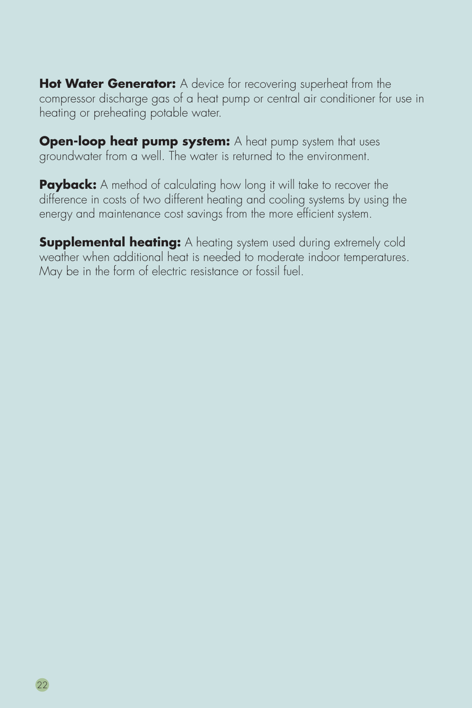**Hot Water Generator:** A device for recovering superheat from the compressor discharge gas of a heat pump or central air conditioner for use in heating or preheating potable water.

**Open-loop heat pump system:** A heat pump system that uses groundwater from a well. The water is returned to the environment.

**Payback:** A method of calculating how long it will take to recover the difference in costs of two different heating and cooling systems by using the energy and maintenance cost savings from the more efficient system.

**Supplemental heating:** A heating system used during extremely cold weather when additional heat is needed to moderate indoor temperatures. May be in the form of electric resistance or fossil fuel.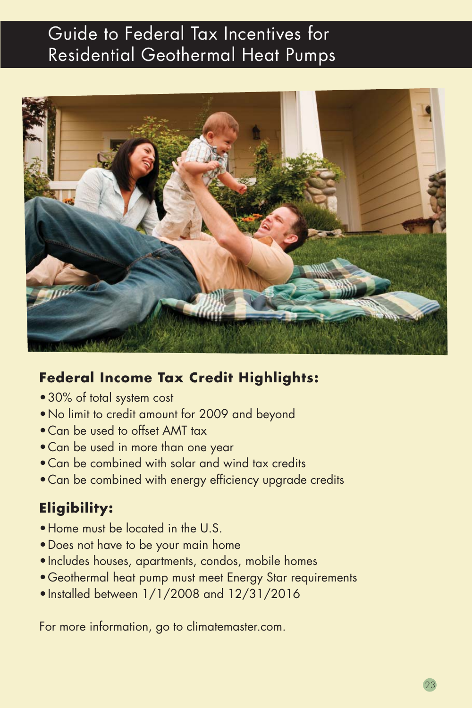## Guide to Federal Tax Incentives for Residential Geothermal Heat Pumps



### **Federal Income Tax Credit Highlights:**

- 30% of total system cost
- No limit to credit amount for 2009 and beyond
- Can be used to offset AMT tax
- Can be used in more than one year
- Can be combined with solar and wind tax credits
- Can be combined with energy efficiency upgrade credits

### **Eligibility:**

- Home must be located in the U.S.
- Does not have to be your main home
- Includes houses, apartments, condos, mobile homes
- Geothermal heat pump must meet Energy Star requirements
- Installed between 1/1/2008 and 12/31/2016

For more information, go to climatemaster.com.